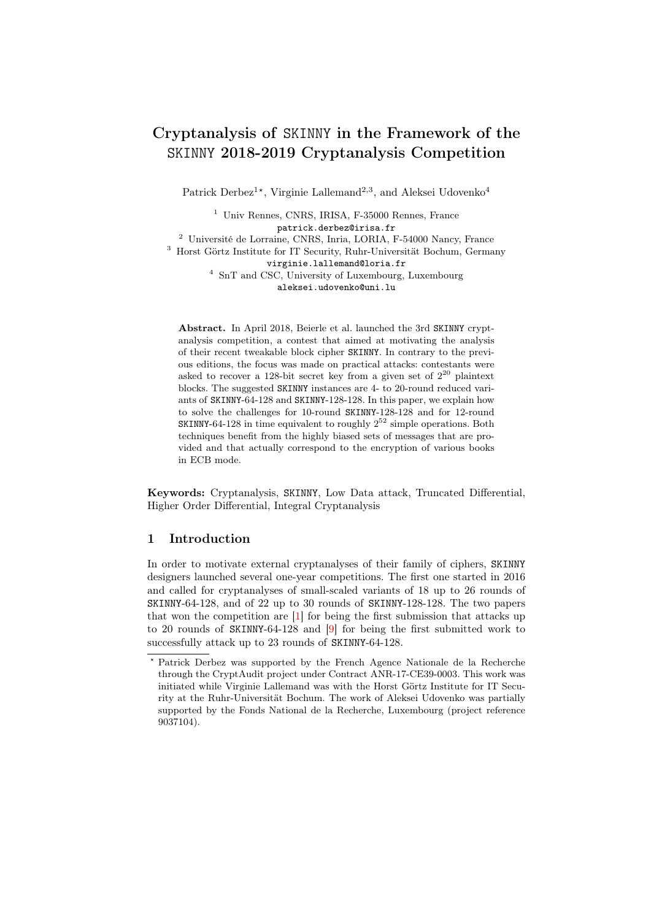# Cryptanalysis of SKINNY in the Framework of the SKINNY 2018-2019 Cryptanalysis Competition

Patrick Derbez<sup>1\*</sup>, Virginie Lallemand<sup>2,3</sup>, and Aleksei Udovenko<sup>4</sup>

<sup>1</sup> Univ Rennes, CNRS, IRISA, F-35000 Rennes, France patrick.derbez@irisa.fr

<sup>2</sup> Université de Lorraine, CNRS, Inria, LORIA, F-54000 Nancy, France

<sup>3</sup> Horst Görtz Institute for IT Security, Ruhr-Universität Bochum, Germany virginie.lallemand@loria.fr

> <sup>4</sup> SnT and CSC, University of Luxembourg, Luxembourg aleksei.udovenko@uni.lu

Abstract. In April 2018, Beierle et al. launched the 3rd SKINNY cryptanalysis competition, a contest that aimed at motivating the analysis of their recent tweakable block cipher SKINNY. In contrary to the previous editions, the focus was made on practical attacks: contestants were asked to recover a 128-bit secret key from a given set of  $2^{20}$  plaintext blocks. The suggested SKINNY instances are 4- to 20-round reduced variants of SKINNY-64-128 and SKINNY-128-128. In this paper, we explain how to solve the challenges for 10-round SKINNY-128-128 and for 12-round SKINNY-64-128 in time equivalent to roughly  $2^{52}$  simple operations. Both techniques benefit from the highly biased sets of messages that are provided and that actually correspond to the encryption of various books in ECB mode.

Keywords: Cryptanalysis, SKINNY, Low Data attack, Truncated Differential, Higher Order Differential, Integral Cryptanalysis

# 1 Introduction

In order to motivate external cryptanalyses of their family of ciphers, SKINNY designers launched several one-year competitions. The first one started in 2016 and called for cryptanalyses of small-scaled variants of 18 up to 26 rounds of SKINNY-64-128, and of 22 up to 30 rounds of SKINNY-128-128. The two papers that won the competition are [\[1\]](#page-20-0) for being the first submission that attacks up to 20 rounds of SKINNY-64-128 and [\[9\]](#page-20-1) for being the first submitted work to successfully attack up to 23 rounds of SKINNY-64-128.

<sup>?</sup> Patrick Derbez was supported by the French Agence Nationale de la Recherche through the CryptAudit project under Contract ANR-17-CE39-0003. This work was initiated while Virginie Lallemand was with the Horst Görtz Institute for IT Security at the Ruhr-Universität Bochum. The work of Aleksei Udovenko was partially supported by the Fonds National de la Recherche, Luxembourg (project reference 9037104).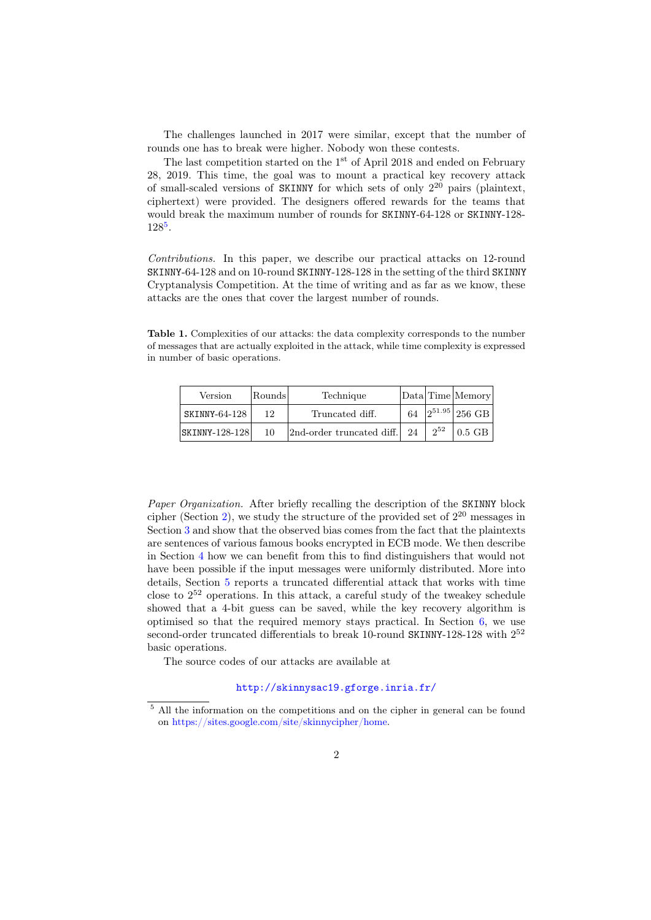The challenges launched in 2017 were similar, except that the number of rounds one has to break were higher. Nobody won these contests.

The last competition started on the 1<sup>st</sup> of April 2018 and ended on February 28, 2019. This time, the goal was to mount a practical key recovery attack of small-scaled versions of SKINNY for which sets of only 2 <sup>20</sup> pairs (plaintext, ciphertext) were provided. The designers offered rewards for the teams that would break the maximum number of rounds for SKINNY-64-128 or SKINNY-128-  $128^{\frac{5}{6}}$  $128^{\frac{5}{6}}$  $128^{\frac{5}{6}}$ .

Contributions. In this paper, we describe our practical attacks on 12-round SKINNY-64-128 and on 10-round SKINNY-128-128 in the setting of the third SKINNY Cryptanalysis Competition. At the time of writing and as far as we know, these attacks are the ones that cover the largest number of rounds.

Table 1. Complexities of our attacks: the data complexity corresponds to the number of messages that are actually exploited in the attack, while time complexity is expressed in number of basic operations.

| Version            | Rounds | Technique                 |    |          | Data Time Memory   |
|--------------------|--------|---------------------------|----|----------|--------------------|
| SKINNY-64-128      | 12     | Truncated diff.           | 64 |          | $2^{51.95}$ 256 GB |
| $ SKINNY-128-128 $ | 10     | 2nd-order truncated diff. | 24 | $2^{52}$ | $0.5$ GB           |

Paper Organization. After briefly recalling the description of the SKINNY block cipher (Section [2\)](#page-2-0), we study the structure of the provided set of  $2^{20}$  messages in Section [3](#page-4-0) and show that the observed bias comes from the fact that the plaintexts are sentences of various famous books encrypted in ECB mode. We then describe in Section [4](#page-5-0) how we can benefit from this to find distinguishers that would not have been possible if the input messages were uniformly distributed. More into details, Section [5](#page-9-0) reports a truncated differential attack that works with time close to 2 <sup>52</sup> operations. In this attack, a careful study of the tweakey schedule showed that a 4-bit guess can be saved, while the key recovery algorithm is optimised so that the required memory stays practical. In Section [6,](#page-16-0) we use second-order truncated differentials to break 10-round SKINNY-128-128 with  $2^{52}$ basic operations.

The source codes of our attacks are available at

# <http://skinnysac19.gforge.inria.fr/>

<span id="page-1-0"></span><sup>5</sup> All the information on the competitions and on the cipher in general can be found on [https://sites.google.com/site/skinnycipher/home.](https://sites.google.com/site/skinnycipher/home)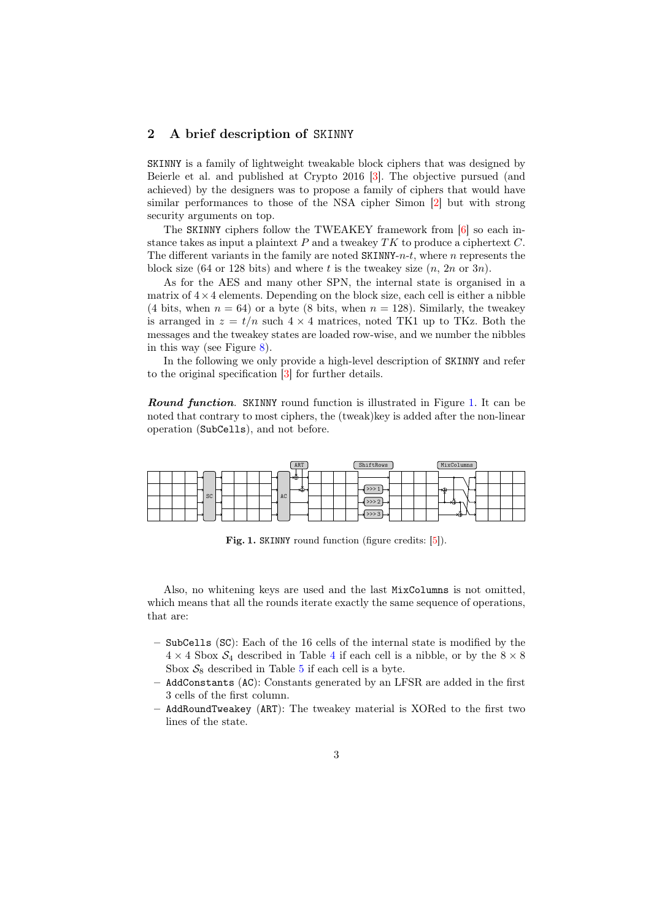## <span id="page-2-0"></span>2 A brief description of SKINNY

SKINNY is a family of lightweight tweakable block ciphers that was designed by Beierle et al. and published at Crypto 2016 [\[3\]](#page-20-2). The objective pursued (and achieved) by the designers was to propose a family of ciphers that would have similar performances to those of the NSA cipher Simon [\[2\]](#page-20-3) but with strong security arguments on top.

The SKINNY ciphers follow the TWEAKEY framework from [\[6\]](#page-20-4) so each instance takes as input a plaintext  $P$  and a tweakey  $TK$  to produce a ciphertext  $C$ . The different variants in the family are noted  $SKINNY-n-t$ , where n represents the block size (64 or 128 bits) and where t is the tweakey size  $(n, 2n \text{ or } 3n)$ .

As for the AES and many other SPN, the internal state is organised in a matrix of  $4 \times 4$  elements. Depending on the block size, each cell is either a nibble (4 bits, when  $n = 64$ ) or a byte (8 bits, when  $n = 128$ ). Similarly, the tweakey is arranged in  $z = t/n$  such  $4 \times 4$  matrices, noted TK1 up to TKz. Both the messages and the tweakey states are loaded row-wise, and we number the nibbles in this way (see Figure [8\)](#page-14-0).

In the following we only provide a high-level description of SKINNY and refer to the original specification [\[3\]](#page-20-2) for further details.

Round function. SKINNY round function is illustrated in Figure [1.](#page-2-1) It can be noted that contrary to most ciphers, the (tweak)key is added after the non-linear operation (SubCells), and not before.



<span id="page-2-1"></span>Fig. 1. SKINNY round function (figure credits: [\[5\]](#page-20-5)).

Also, no whitening keys are used and the last MixColumns is not omitted, which means that all the rounds iterate exactly the same sequence of operations, that are:

- SubCells (SC): Each of the 16 cells of the internal state is modified by the  $4 \times 4$  $4 \times 4$  Sbox  $S_4$  described in Table 4 if each cell is a nibble, or by the  $8 \times 8$ Sbox  $S_8$  described in Table [5](#page-21-1) if each cell is a byte.
- AddConstants (AC): Constants generated by an LFSR are added in the first 3 cells of the first column.
- AddRoundTweakey (ART): The tweakey material is XORed to the first two lines of the state.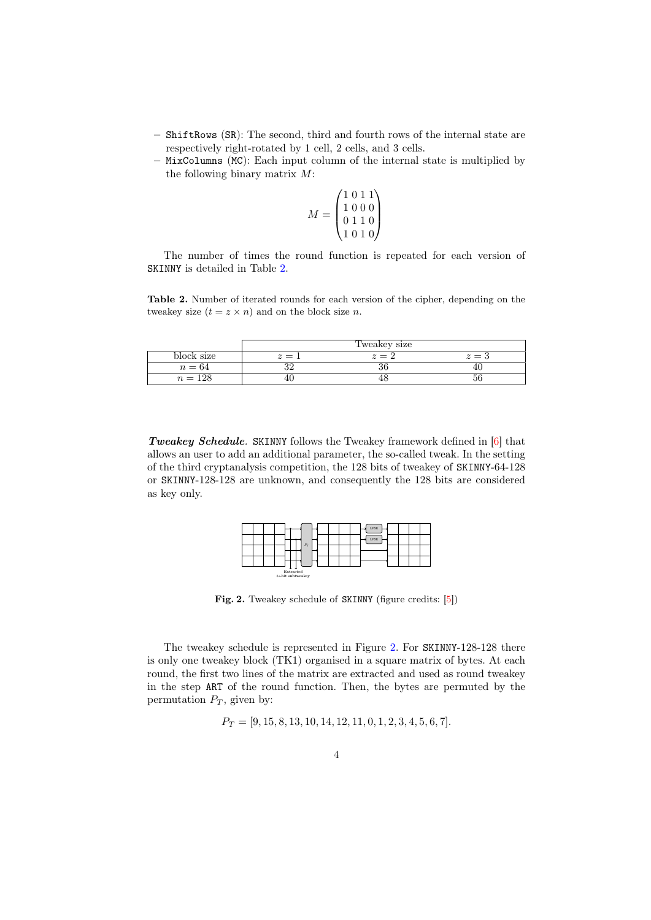- ShiftRows (SR): The second, third and fourth rows of the internal state are respectively right-rotated by 1 cell, 2 cells, and 3 cells.
- MixColumns (MC): Each input column of the internal state is multiplied by the following binary matrix M:

$$
M = \begin{pmatrix} 1 & 0 & 1 & 1 \\ 1 & 0 & 0 & 0 \\ 0 & 1 & 1 & 0 \\ 1 & 0 & 1 & 0 \end{pmatrix}
$$

The number of times the round function is repeated for each version of SKINNY is detailed in Table [2.](#page-3-0)

<span id="page-3-0"></span>Table 2. Number of iterated rounds for each version of the cipher, depending on the tweakey size  $(t = z \times n)$  and on the block size *n*.

|            |       | Tweakey size |                  |
|------------|-------|--------------|------------------|
| block size | $z =$ | $z=z$        | $\bar{\ }$ $=$ . |
| $n=64$     | ے ر   | ುಂ           |                  |
| $n = 128$  |       |              |                  |

Tweakey Schedule. SKINNY follows the Tweakey framework defined in [\[6\]](#page-20-4) that allows an user to add an additional parameter, the so-called tweak. In the setting of the third cryptanalysis competition, the 128 bits of tweakey of SKINNY-64-128 or SKINNY-128-128 are unknown, and consequently the 128 bits are considered as key only.

|                                          |  | LFSR |  |  |
|------------------------------------------|--|------|--|--|
| $P_T$                                    |  | LFSR |  |  |
|                                          |  |      |  |  |
|                                          |  |      |  |  |
| ₩<br>÷<br>Extracted<br>8s-bit subtweakey |  |      |  |  |

<span id="page-3-1"></span>Fig. 2. Tweakey schedule of SKINNY (figure credits: [\[5\]](#page-20-5))

The tweakey schedule is represented in Figure [2.](#page-3-1) For SKINNY-128-128 there is only one tweakey block (TK1) organised in a square matrix of bytes. At each round, the first two lines of the matrix are extracted and used as round tweakey in the step ART of the round function. Then, the bytes are permuted by the permutation  $P_T$ , given by:

 $P_T = [9, 15, 8, 13, 10, 14, 12, 11, 0, 1, 2, 3, 4, 5, 6, 7].$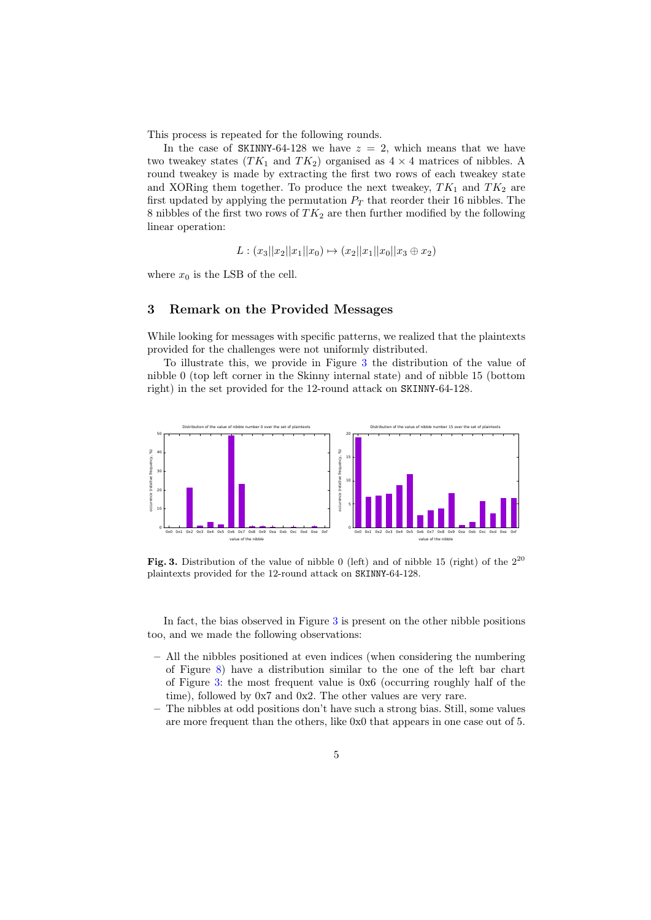This process is repeated for the following rounds.

In the case of SKINNY-64-128 we have  $z = 2$ , which means that we have two tweakey states  $(TK_1$  and  $TK_2)$  organised as  $4 \times 4$  matrices of nibbles. A round tweakey is made by extracting the first two rows of each tweakey state and XORing them together. To produce the next tweakey,  $TK_1$  and  $TK_2$  are first updated by applying the permutation  $P_T$  that reorder their 16 nibbles. The 8 nibbles of the first two rows of  $TK_2$  are then further modified by the following linear operation:

$$
L: (x_3||x_2||x_1||x_0) \mapsto (x_2||x_1||x_0||x_3 \oplus x_2)
$$

where  $x_0$  is the LSB of the cell.

# <span id="page-4-0"></span>3 Remark on the Provided Messages

While looking for messages with specific patterns, we realized that the plaintexts provided for the challenges were not uniformly distributed.

To illustrate this, we provide in Figure [3](#page-4-1) the distribution of the value of nibble 0 (top left corner in the Skinny internal state) and of nibble 15 (bottom right) in the set provided for the 12-round attack on SKINNY-64-128.



<span id="page-4-1"></span>Fig. 3. Distribution of the value of nibble 0 (left) and of nibble 15 (right) of the  $2^{20}$ plaintexts provided for the 12-round attack on SKINNY-64-128.

In fact, the bias observed in Figure [3](#page-4-1) is present on the other nibble positions too, and we made the following observations:

- All the nibbles positioned at even indices (when considering the numbering of Figure [8\)](#page-14-0) have a distribution similar to the one of the left bar chart of Figure [3:](#page-4-1) the most frequent value is 0x6 (occurring roughly half of the time), followed by 0x7 and 0x2. The other values are very rare.
- The nibbles at odd positions don't have such a strong bias. Still, some values are more frequent than the others, like 0x0 that appears in one case out of 5.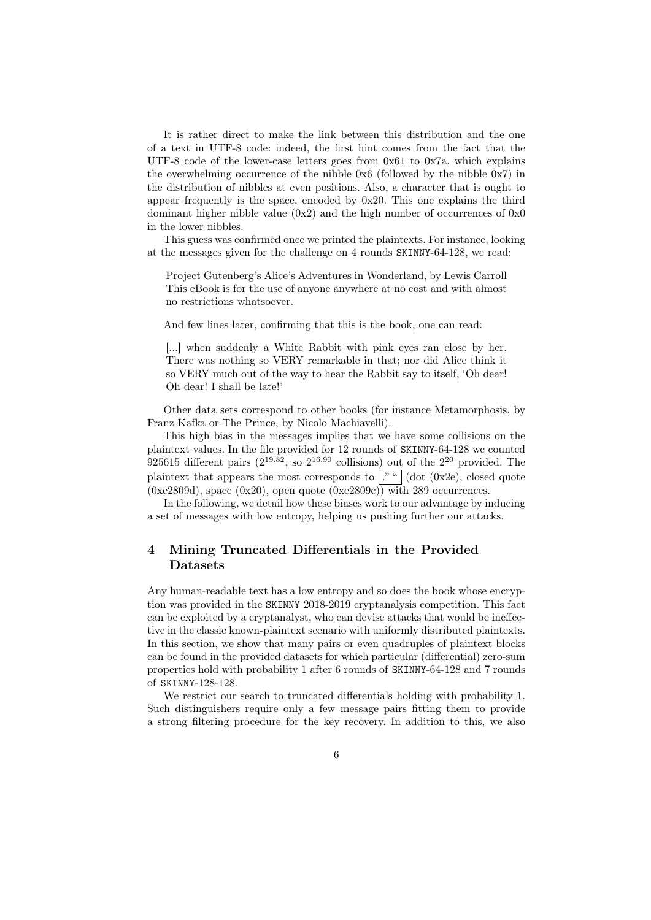It is rather direct to make the link between this distribution and the one of a text in UTF-8 code: indeed, the first hint comes from the fact that the UTF-8 code of the lower-case letters goes from 0x61 to 0x7a, which explains the overwhelming occurrence of the nibble 0x6 (followed by the nibble 0x7) in the distribution of nibbles at even positions. Also, a character that is ought to appear frequently is the space, encoded by 0x20. This one explains the third dominant higher nibble value  $(0x2)$  and the high number of occurrences of  $0x0$ in the lower nibbles.

This guess was confirmed once we printed the plaintexts. For instance, looking at the messages given for the challenge on 4 rounds SKINNY-64-128, we read:

Project Gutenberg's Alice's Adventures in Wonderland, by Lewis Carroll This eBook is for the use of anyone anywhere at no cost and with almost no restrictions whatsoever.

And few lines later, confirming that this is the book, one can read:

[...] when suddenly a White Rabbit with pink eyes ran close by her. There was nothing so VERY remarkable in that; nor did Alice think it so VERY much out of the way to hear the Rabbit say to itself, 'Oh dear! Oh dear! I shall be late!'

Other data sets correspond to other books (for instance Metamorphosis, by Franz Kafka or The Prince, by Nicolo Machiavelli).

This high bias in the messages implies that we have some collisions on the plaintext values. In the file provided for 12 rounds of SKINNY-64-128 we counted 925615 different pairs  $(2^{19.82},$  so  $2^{16.90}$  collisions) out of the  $2^{20}$  provided. The plaintext that appears the most corresponds to  $\left[\cdot\right]$  (dot (0x2e), closed quote  $(0xe2809d)$ , space  $(0x20)$ , open quote  $(0xe2809c)$ ) with 289 occurrences.

In the following, we detail how these biases work to our advantage by inducing a set of messages with low entropy, helping us pushing further our attacks.

# <span id="page-5-0"></span>4 Mining Truncated Differentials in the Provided Datasets

Any human-readable text has a low entropy and so does the book whose encryption was provided in the SKINNY 2018-2019 cryptanalysis competition. This fact can be exploited by a cryptanalyst, who can devise attacks that would be ineffective in the classic known-plaintext scenario with uniformly distributed plaintexts. In this section, we show that many pairs or even quadruples of plaintext blocks can be found in the provided datasets for which particular (differential) zero-sum properties hold with probability 1 after 6 rounds of SKINNY-64-128 and 7 rounds of SKINNY-128-128.

We restrict our search to truncated differentials holding with probability 1. Such distinguishers require only a few message pairs fitting them to provide a strong filtering procedure for the key recovery. In addition to this, we also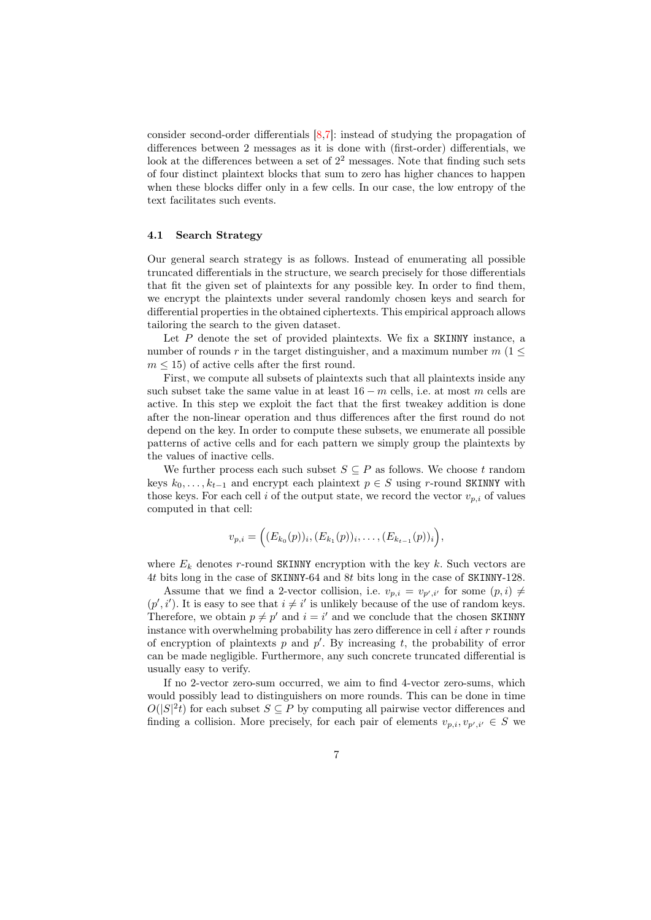consider second-order differentials [\[8,](#page-20-6)[7\]](#page-20-7): instead of studying the propagation of differences between 2 messages as it is done with (first-order) differentials, we look at the differences between a set of  $2<sup>2</sup>$  messages. Note that finding such sets of four distinct plaintext blocks that sum to zero has higher chances to happen when these blocks differ only in a few cells. In our case, the low entropy of the text facilitates such events.

### 4.1 Search Strategy

Our general search strategy is as follows. Instead of enumerating all possible truncated differentials in the structure, we search precisely for those differentials that fit the given set of plaintexts for any possible key. In order to find them, we encrypt the plaintexts under several randomly chosen keys and search for differential properties in the obtained ciphertexts. This empirical approach allows tailoring the search to the given dataset.

Let  $P$  denote the set of provided plaintexts. We fix a SKINNY instance, a number of rounds r in the target distinguisher, and a maximum number  $m(1 \leq$  $m \leq 15$ ) of active cells after the first round.

First, we compute all subsets of plaintexts such that all plaintexts inside any such subset take the same value in at least  $16 - m$  cells, i.e. at most m cells are active. In this step we exploit the fact that the first tweakey addition is done after the non-linear operation and thus differences after the first round do not depend on the key. In order to compute these subsets, we enumerate all possible patterns of active cells and for each pattern we simply group the plaintexts by the values of inactive cells.

We further process each such subset  $S \subseteq P$  as follows. We choose t random keys  $k_0, \ldots, k_{t-1}$  and encrypt each plaintext  $p \in S$  using r-round SKINNY with those keys. For each cell i of the output state, we record the vector  $v_{p,i}$  of values computed in that cell:

$$
v_{p,i} = (E_{k_0}(p))_i, (E_{k_1}(p))_i, \ldots, (E_{k_{t-1}}(p))_i,
$$

where  $E_k$  denotes r-round SKINNY encryption with the key k. Such vectors are 4t bits long in the case of SKINNY-64 and 8t bits long in the case of SKINNY-128.

Assume that we find a 2-vector collision, i.e.  $v_{p,i} = v_{p',i'}$  for some  $(p, i) \neq$  $(p', i')$ . It is easy to see that  $i \neq i'$  is unlikely because of the use of random keys. Therefore, we obtain  $p \neq p'$  and  $i = i'$  and we conclude that the chosen SKINNY instance with overwhelming probability has zero difference in cell  $i$  after  $r$  rounds of encryption of plaintexts  $p$  and  $p'$ . By increasing  $t$ , the probability of error can be made negligible. Furthermore, any such concrete truncated differential is usually easy to verify.

If no 2-vector zero-sum occurred, we aim to find 4-vector zero-sums, which would possibly lead to distinguishers on more rounds. This can be done in time  $O(|S|^2 t)$  for each subset  $S \subseteq P$  by computing all pairwise vector differences and finding a collision. More precisely, for each pair of elements  $v_{p,i}, v_{p',i'} \in S$  we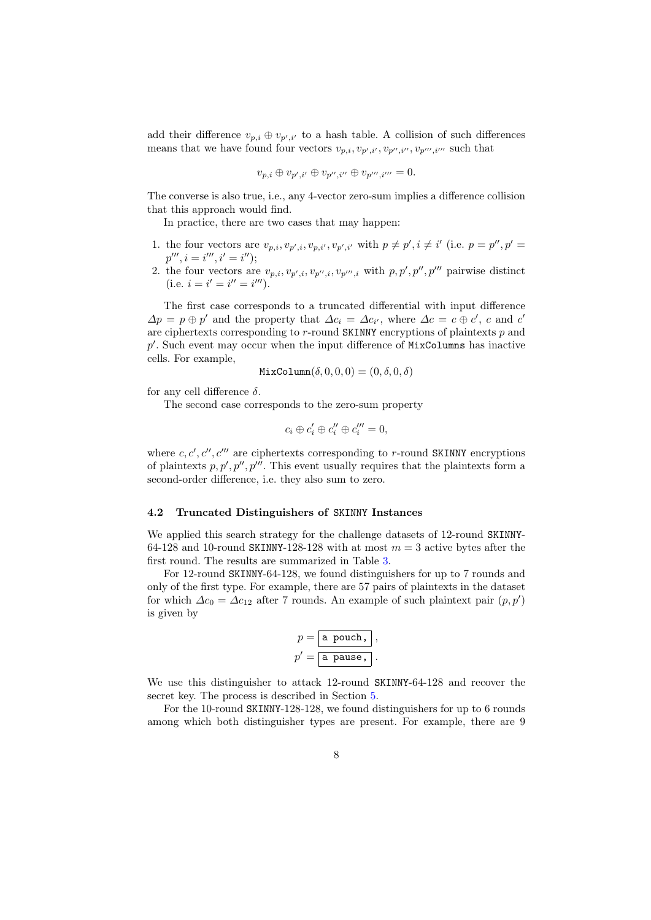add their difference  $v_{p,i} \oplus v_{p',i'}$  to a hash table. A collision of such differences means that we have found four vectors  $v_{p,i}, v_{p',i'}, v_{p'',i''}, v_{p''',i'''}$  such that

$$
v_{p,i}\oplus v_{p',i'}\oplus v_{p'',i''}\oplus v_{p''',i'''}=0.
$$

The converse is also true, i.e., any 4-vector zero-sum implies a difference collision that this approach would find.

In practice, there are two cases that may happen:

- 1. the four vectors are  $v_{p,i}, v_{p',i}, v_{p,i'}, v_{p',i'}$  with  $p \neq p', i \neq i'$  (i.e.  $p = p'', p' =$  $p''', i = i''', i' = i'$ ;
- 2. the four vectors are  $v_{p,i}, v_{p',i}, v_{p'',i}, v_{p''',i}$  with  $p, p', p''$ , pairwise distinct (i.e.  $i = i' = i'' = i'''$ ).

The first case corresponds to a truncated differential with input difference  $\Delta p = p \oplus p'$  and the property that  $\Delta c_i = \Delta c_{i'}$ , where  $\Delta c = c \oplus c'$ , c and c' are ciphertexts corresponding to  $r$ -round SKINNY encryptions of plaintexts  $p$  and  $p'$ . Such event may occur when the input difference of MixColumns has inactive cells. For example,

$$
\mathtt{MixColumn}(\delta, 0, 0, 0) = (0, \delta, 0, \delta)
$$

for any cell difference δ.

The second case corresponds to the zero-sum property

$$
c_i \oplus c_i' \oplus c_i'' \oplus c_i''' = 0,
$$

where  $c, c', c'', c'''$  are ciphertexts corresponding to r-round SKINNY encryptions of plaintexts  $p, p', p'', p'''$ . This event usually requires that the plaintexts form a second-order difference, i.e. they also sum to zero.

#### <span id="page-7-0"></span>4.2 Truncated Distinguishers of SKINNY Instances

We applied this search strategy for the challenge datasets of 12-round SKINNY-64-128 and 10-round SKINNY-128-128 with at most  $m = 3$  active bytes after the first round. The results are summarized in Table [3.](#page-8-0)

For 12-round SKINNY-64-128, we found distinguishers for up to 7 rounds and only of the first type. For example, there are 57 pairs of plaintexts in the dataset for which  $\Delta c_0 = \Delta c_{12}$  after 7 rounds. An example of such plaintext pair  $(p, p')$ is given by

$$
p = \boxed{\text{a pool}, \,},
$$

$$
p' = \boxed{\text{a pause}, \,}.
$$

We use this distinguisher to attack 12-round SKINNY-64-128 and recover the secret key. The process is described in Section [5.](#page-9-0)

For the 10-round SKINNY-128-128, we found distinguishers for up to 6 rounds among which both distinguisher types are present. For example, there are 9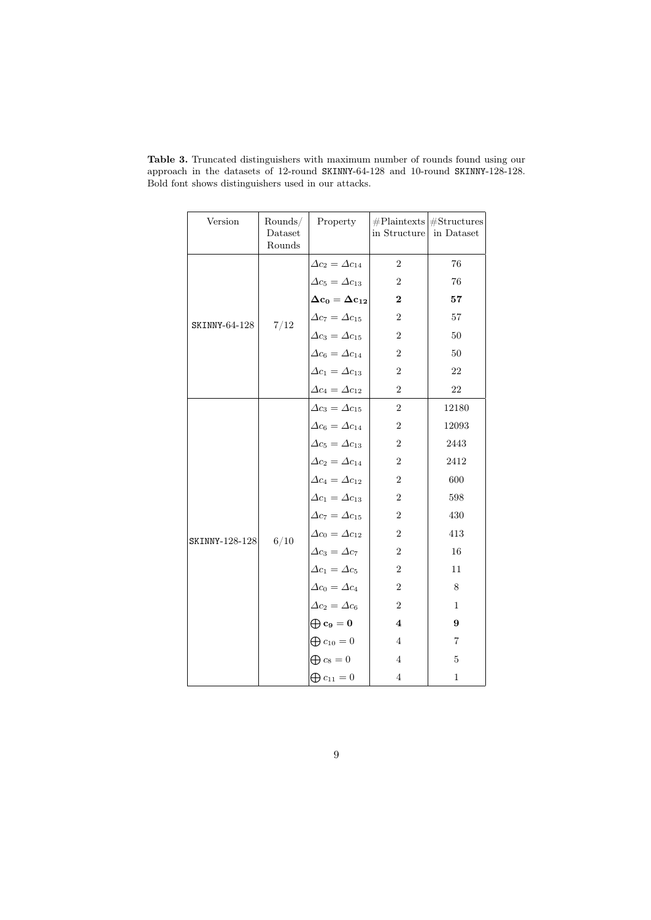| Version        | Rounds/<br>Dataset<br>Rounds | Property                            | in Structure            | $#Plaintexts$ # Structures<br>in Dataset |
|----------------|------------------------------|-------------------------------------|-------------------------|------------------------------------------|
|                |                              | $\Delta c_2 = \Delta c_{14}$        | $\overline{2}$          | 76                                       |
|                |                              | $\Delta c_5 = \Delta c_{13}$        | $\boldsymbol{2}$        | $76\,$                                   |
|                |                              | $\Delta c_0 = \Delta c_{12}$        | $\bf{2}$                | 57                                       |
| SKINNY-64-128  | 7/12                         | $\Delta c_7 = \Delta c_{15}$        | $\overline{2}$          | $57\,$                                   |
|                |                              | $\Delta c_3 = \Delta c_{15}$        | $\,2$                   | $50\,$                                   |
|                |                              | $\Delta c_6 = \Delta c_{14}$        | $\overline{2}$          | 50                                       |
|                |                              | $\Delta c_1 = \Delta c_{13}$        | $\boldsymbol{2}$        | 22                                       |
|                |                              | $\Delta c_4 = \Delta c_{12}$        | $\boldsymbol{2}$        | 22                                       |
|                |                              | $\Delta c_3 = \Delta c_{15}$        | $\boldsymbol{2}$        | 12180                                    |
|                |                              | $\Delta c_6 = \Delta c_{14}$        | $\,2$                   | 12093                                    |
|                |                              | $\Delta c_5 = \Delta c_{13}$        | 2                       | 2443                                     |
|                |                              | $\Delta c_2 = \Delta c_{14}$        | $\sqrt{2}$              | 2412                                     |
|                |                              | $\Delta c_4 = \Delta c_{12}$        | $\overline{2}$          | 600                                      |
|                |                              | $\Delta c_1 = \Delta c_{13}$        | $\overline{2}$          | 598                                      |
|                |                              | $\Delta c_7 = \Delta c_{15}$        | $\sqrt{2}$              | 430                                      |
| SKINNY-128-128 | 6/10                         | $\Delta c_0 = \Delta c_{12}$        | $\overline{2}$          | 413                                      |
|                |                              | $\Delta c_3 = \Delta c_7$           | $\,2$                   | 16                                       |
|                |                              | $\Delta c_1 = \Delta c_5$           | $\boldsymbol{2}$        | 11                                       |
|                |                              | $\Delta c_0 = \Delta c_4$           | $\,2$                   | $8\,$                                    |
|                |                              | $\Delta c_2 = \Delta c_6$           | $\sqrt{2}$              | $\,1$                                    |
|                |                              | $\bigoplus \mathbf{c_9}=\mathbf{0}$ | $\overline{\mathbf{4}}$ | 9                                        |
|                |                              | $\bigoplus c_{10}=0$                | $\overline{4}$          | $\overline{\mathbf{7}}$                  |
|                |                              | $\bigoplus c_8 = 0$                 | $\overline{4}$          | $\overline{5}$                           |
|                |                              | $\bigoplus c_{11}=0$                | $\overline{4}$          | $\mathbf{1}$                             |

<span id="page-8-0"></span>Table 3. Truncated distinguishers with maximum number of rounds found using our approach in the datasets of 12-round SKINNY-64-128 and 10-round SKINNY-128-128. Bold font shows distinguishers used in our attacks.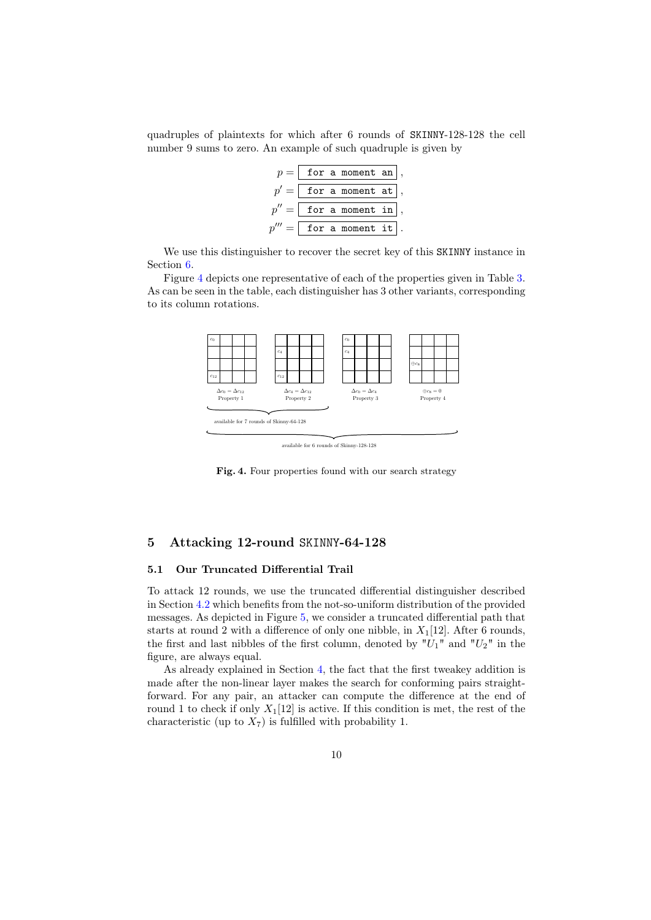quadruples of plaintexts for which after 6 rounds of SKINNY-128-128 the cell number 9 sums to zero. An example of such quadruple is given by

> $p = |$  for a moment an p for a moment at  $p'' =$ for a moment in  $p''' =$ for a moment it

We use this distinguisher to recover the secret key of this SKINNY instance in Section [6.](#page-16-0)

Figure [4](#page-9-1) depicts one representative of each of the properties given in Table [3.](#page-8-0) As can be seen in the table, each distinguisher has 3 other variants, corresponding to its column rotations.



<span id="page-9-1"></span>available for 6 rounds of Skinny-128-128

Fig. 4. Four properties found with our search strategy

# <span id="page-9-0"></span>5 Attacking 12-round SKINNY-64-128

### 5.1 Our Truncated Differential Trail

To attack 12 rounds, we use the truncated differential distinguisher described in Section [4.2](#page-7-0) which benefits from the not-so-uniform distribution of the provided messages. As depicted in Figure [5,](#page-10-0) we consider a truncated differential path that starts at round 2 with a difference of only one nibble, in  $X_1[12]$ . After 6 rounds, the first and last nibbles of the first column, denoted by " $U_1$ " and " $U_2$ " in the figure, are always equal.

As already explained in Section [4,](#page-5-0) the fact that the first tweakey addition is made after the non-linear layer makes the search for conforming pairs straightforward. For any pair, an attacker can compute the difference at the end of round 1 to check if only  $X_1[12]$  is active. If this condition is met, the rest of the characteristic (up to  $X_7$ ) is fulfilled with probability 1.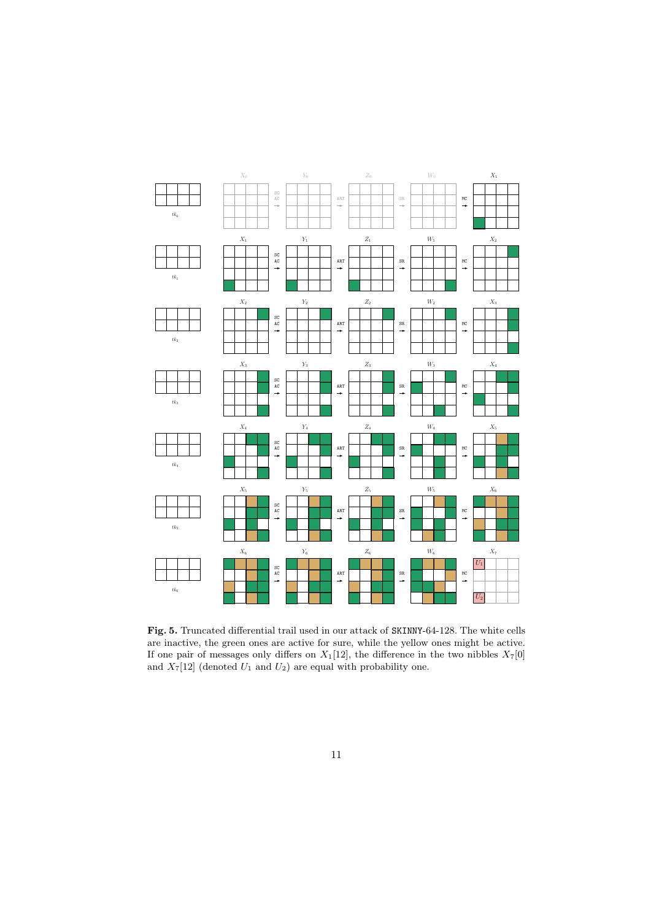

<span id="page-10-0"></span>Fig. 5. Truncated differential trail used in our attack of SKINNY-64-128. The white cells are inactive, the green ones are active for sure, while the yellow ones might be active. If one pair of messages only differs on  $X_1[12]$ , the difference in the two nibbles  $X_7[0]$ and  $X_7[12]$  (denoted  $U_1$  and  $U_2$ ) are equal with probability one.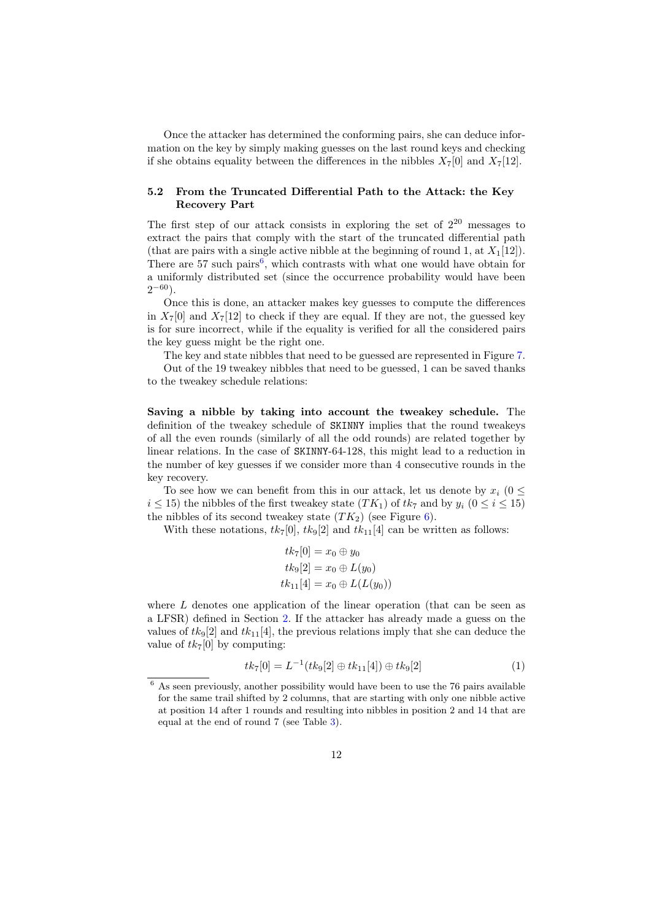Once the attacker has determined the conforming pairs, she can deduce information on the key by simply making guesses on the last round keys and checking if she obtains equality between the differences in the nibbles  $X_7[0]$  and  $X_7[12]$ .

# 5.2 From the Truncated Differential Path to the Attack: the Key Recovery Part

The first step of our attack consists in exploring the set of  $2^{20}$  messages to extract the pairs that comply with the start of the truncated differential path (that are pairs with a single active nibble at the beginning of round 1, at  $X_1[12]$ ). There are 57 such pairs<sup>[6](#page-11-0)</sup>, which contrasts with what one would have obtain for a uniformly distributed set (since the occurrence probability would have been  $2^{-60}$ ).

Once this is done, an attacker makes key guesses to compute the differences in  $X_7[0]$  and  $X_7[12]$  to check if they are equal. If they are not, the guessed key is for sure incorrect, while if the equality is verified for all the considered pairs the key guess might be the right one.

The key and state nibbles that need to be guessed are represented in Figure [7.](#page-13-0)

Out of the 19 tweakey nibbles that need to be guessed, 1 can be saved thanks to the tweakey schedule relations:

Saving a nibble by taking into account the tweakey schedule. The definition of the tweakey schedule of SKINNY implies that the round tweakeys of all the even rounds (similarly of all the odd rounds) are related together by linear relations. In the case of SKINNY-64-128, this might lead to a reduction in the number of key guesses if we consider more than 4 consecutive rounds in the key recovery.

To see how we can benefit from this in our attack, let us denote by  $x_i$  (0  $\leq$  $i \leq 15$ ) the nibbles of the first tweakey state  $(TK_1)$  of  $tk_7$  and by  $y_i$   $(0 \leq i \leq 15)$ the nibbles of its second tweakey state  $(TK_2)$  (see Figure [6\)](#page-12-0).

With these notations,  $tk_7[0]$ ,  $tk_9[2]$  and  $tk_{11}[4]$  can be written as follows:

$$
tk_7[0] = x_0 \oplus y_0
$$
  

$$
tk_9[2] = x_0 \oplus L(y_0)
$$
  

$$
tk_{11}[4] = x_0 \oplus L(L(y_0))
$$

where  $L$  denotes one application of the linear operation (that can be seen as a LFSR) defined in Section [2.](#page-2-0) If the attacker has already made a guess on the values of  $tk_9[2]$  and  $tk_{11}[4]$ , the previous relations imply that she can deduce the value of  $tk_7[0]$  by computing:

$$
tk_7[0] = L^{-1}(tk_9[2] \oplus tk_{11}[4]) \oplus tk_9[2]
$$
\n(1)

<span id="page-11-0"></span> $^6$  As seen previously, another possibility would have been to use the 76 pairs available for the same trail shifted by 2 columns, that are starting with only one nibble active at position 14 after 1 rounds and resulting into nibbles in position 2 and 14 that are equal at the end of round 7 (see Table [3\)](#page-8-0).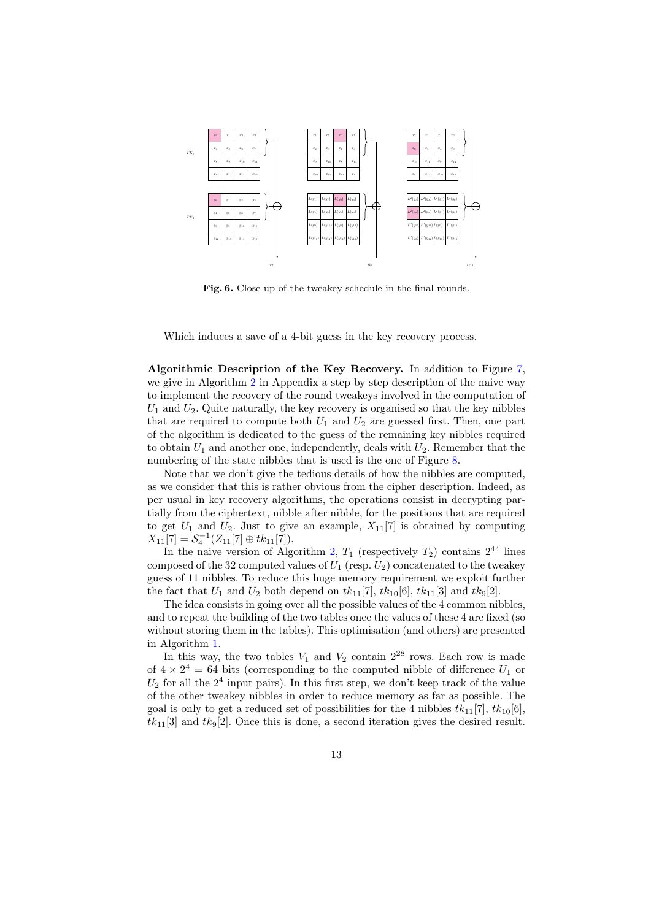

<span id="page-12-0"></span>Fig. 6. Close up of the tweakey schedule in the final rounds.

Which induces a save of a 4-bit guess in the key recovery process.

Algorithmic Description of the Key Recovery. In addition to Figure [7,](#page-13-0) we give in Algorithm [2](#page-22-0) in Appendix a step by step description of the naive way to implement the recovery of the round tweakeys involved in the computation of  $U_1$  and  $U_2$ . Quite naturally, the key recovery is organised so that the key nibbles that are required to compute both  $U_1$  and  $U_2$  are guessed first. Then, one part of the algorithm is dedicated to the guess of the remaining key nibbles required to obtain  $U_1$  and another one, independently, deals with  $U_2$ . Remember that the numbering of the state nibbles that is used is the one of Figure [8.](#page-14-0)

Note that we don't give the tedious details of how the nibbles are computed, as we consider that this is rather obvious from the cipher description. Indeed, as per usual in key recovery algorithms, the operations consist in decrypting partially from the ciphertext, nibble after nibble, for the positions that are required to get  $U_1$  and  $U_2$ . Just to give an example,  $X_{11}[7]$  is obtained by computing  $X_{11}[7] = S_4^{-1}(Z_{11}[7] \oplus tk_{11}[7]).$ 

In the naive version of Algorithm [2,](#page-22-0)  $T_1$  (respectively  $T_2$ ) contains  $2^{44}$  lines composed of the 32 computed values of  $U_1$  (resp.  $U_2$ ) concatenated to the tweakey guess of 11 nibbles. To reduce this huge memory requirement we exploit further the fact that  $U_1$  and  $U_2$  both depend on  $tk_{11}[7]$ ,  $tk_{10}[6]$ ,  $tk_{11}[3]$  and  $tk_9[2]$ .

The idea consists in going over all the possible values of the 4 common nibbles, and to repeat the building of the two tables once the values of these 4 are fixed (so without storing them in the tables). This optimisation (and others) are presented in Algorithm [1.](#page-15-0)

In this way, the two tables  $V_1$  and  $V_2$  contain  $2^{28}$  rows. Each row is made of  $4 \times 2^4 = 64$  bits (corresponding to the computed nibble of difference  $U_1$  or  $U_2$  for all the  $2^4$  input pairs). In this first step, we don't keep track of the value of the other tweakey nibbles in order to reduce memory as far as possible. The goal is only to get a reduced set of possibilities for the 4 nibbles  $tk_{11}[7]$ ,  $tk_{10}[6]$ ,  $tk_{11}[3]$  and  $tk_9[2]$ . Once this is done, a second iteration gives the desired result.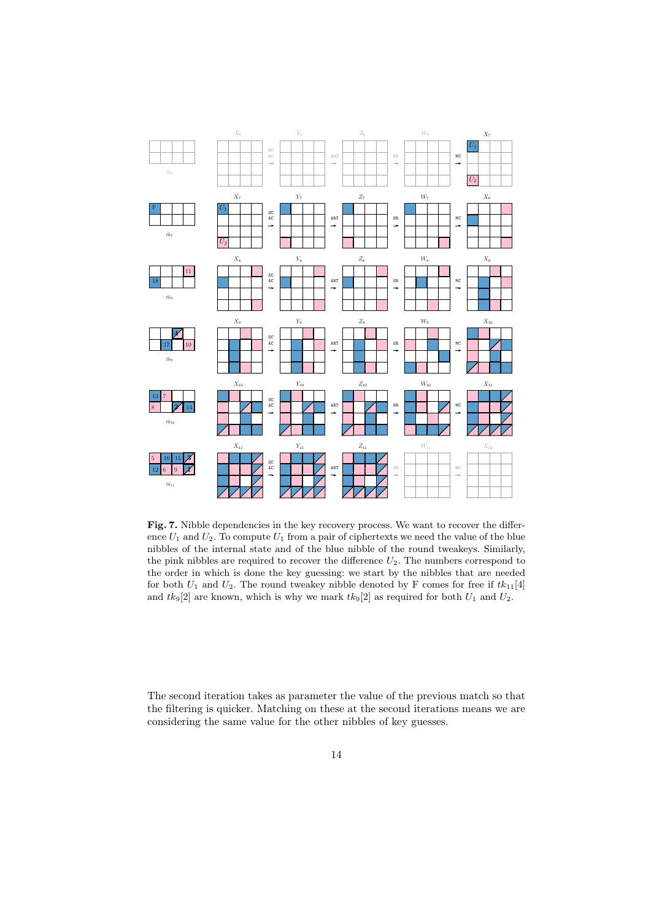

<span id="page-13-0"></span>Fig. 7. Nibble dependencies in the key recovery process. We want to recover the difference  $U_1$  and  $U_2$ . To compute  $U_1$  from a pair of ciphertexts we need the value of the blue nibbles of the internal state and of the blue nibble of the round tweakeys. Similarly, the pink nibbles are required to recover the difference  $U_2$ . The numbers correspond to the order in which is done the key guessing: we start by the nibbles that are needed for both  $U_1$  and  $U_2$ . The round tweakey nibble denoted by F comes for free if  $tk_{11}[4]$ and  $tk_9[2]$  are known, which is why we mark  $tk_9[2]$  as required for both  $U_1$  and  $U_2$ .

The second iteration takes as parameter the value of the previous match so that the filtering is quicker. Matching on these at the second iterations means we are considering the same value for the other nibbles of key guesses.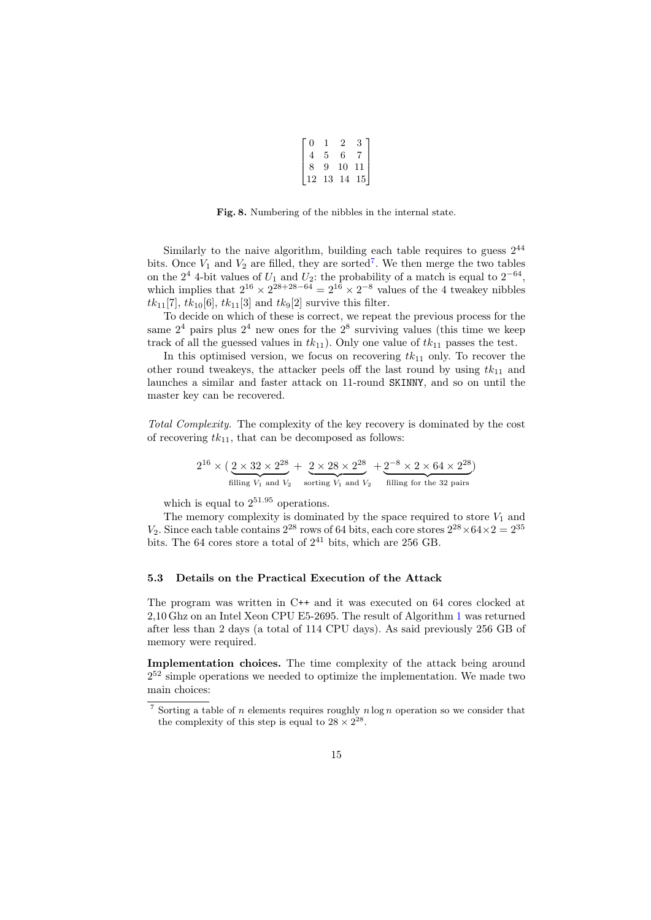| 0  |    |    |    |  |
|----|----|----|----|--|
| 4  | 5  | 6  |    |  |
| 8  | 9  | 10 | 11 |  |
| 12 | 13 | 14 | 15 |  |

<span id="page-14-0"></span>Fig. 8. Numbering of the nibbles in the internal state.

Similarly to the naive algorithm, building each table requires to guess  $2^{44}$ bits. Once  $V_1$  and  $V_2$  are filled, they are sorted<sup>[7](#page-14-1)</sup>. We then merge the two tables on the  $2^4$  4-bit values of  $U_1$  and  $U_2$ : the probability of a match is equal to  $2^{-64}$ , which implies that  $2^{16} \times 2^{28+28-64} = 2^{16} \times 2^{-8}$  values of the 4 tweakey nibbles  $tk_{11}[7], tk_{10}[6], tk_{11}[3]$  and  $tk_9[2]$  survive this filter.

To decide on which of these is correct, we repeat the previous process for the same  $2<sup>4</sup>$  pairs plus  $2<sup>4</sup>$  new ones for the  $2<sup>8</sup>$  surviving values (this time we keep track of all the guessed values in  $tk_{11}$ ). Only one value of  $tk_{11}$  passes the test.

In this optimised version, we focus on recovering  $tk_{11}$  only. To recover the other round tweakeys, the attacker peels off the last round by using  $tk_{11}$  and launches a similar and faster attack on 11-round SKINNY, and so on until the master key can be recovered.

Total Complexity. The complexity of the key recovery is dominated by the cost of recovering  $tk_{11}$ , that can be decomposed as follows:

$$
2^{16} \times \left(\underbrace{2 \times 32 \times 2^{28}}_{\text{filling } V_1 \text{ and } V_2} + \underbrace{2 \times 28 \times 2^{28}}_{\text{sorting } V_1 \text{ and } V_2} + \underbrace{2^{-8} \times 2 \times 64 \times 2^{28}}_{\text{filling for the 32 pairs}}\right)
$$

which is equal to  $2^{51.95}$  operations.

The memory complexity is dominated by the space required to store  $V_1$  and  $V_2$ . Since each table contains  $2^{28}$  rows of 64 bits, each core stores  $2^{28} \times 64 \times 2 = 2^{35}$ bits. The 64 cores store a total of  $2^{41}$  bits, which are 256 GB.

#### 5.3 Details on the Practical Execution of the Attack

The program was written in C++ and it was executed on 64 cores clocked at 2,10 Ghz on an Intel Xeon CPU E5-2695. The result of Algorithm [1](#page-15-0) was returned after less than 2 days (a total of 114 CPU days). As said previously 256 GB of memory were required.

Implementation choices. The time complexity of the attack being around 2 <sup>52</sup> simple operations we needed to optimize the implementation. We made two main choices:

<span id="page-14-1"></span><sup>&</sup>lt;sup>7</sup> Sorting a table of *n* elements requires roughly  $n \log n$  operation so we consider that the complexity of this step is equal to  $28 \times 2^{28}$ .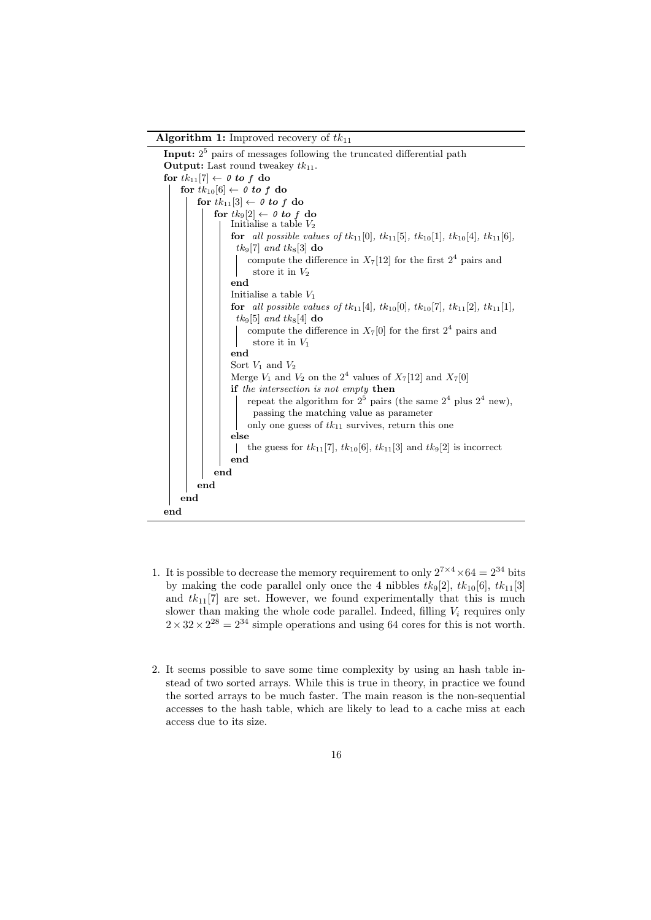Algorithm 1: Improved recovery of  $tk_{11}$ 



- <span id="page-15-0"></span>1. It is possible to decrease the memory requirement to only  $2^{7 \times 4} \times 64 = 2^{34}$  bits by making the code parallel only once the 4 nibbles  $tk_9[2]$ ,  $tk_{10}[6]$ ,  $tk_{11}[3]$ and  $tk_{11}[7]$  are set. However, we found experimentally that this is much slower than making the whole code parallel. Indeed, filling  $V_i$  requires only  $2 \times 32 \times 2^{28} = 2^{34}$  simple operations and using 64 cores for this is not worth.
- 2. It seems possible to save some time complexity by using an hash table instead of two sorted arrays. While this is true in theory, in practice we found the sorted arrays to be much faster. The main reason is the non-sequential accesses to the hash table, which are likely to lead to a cache miss at each access due to its size.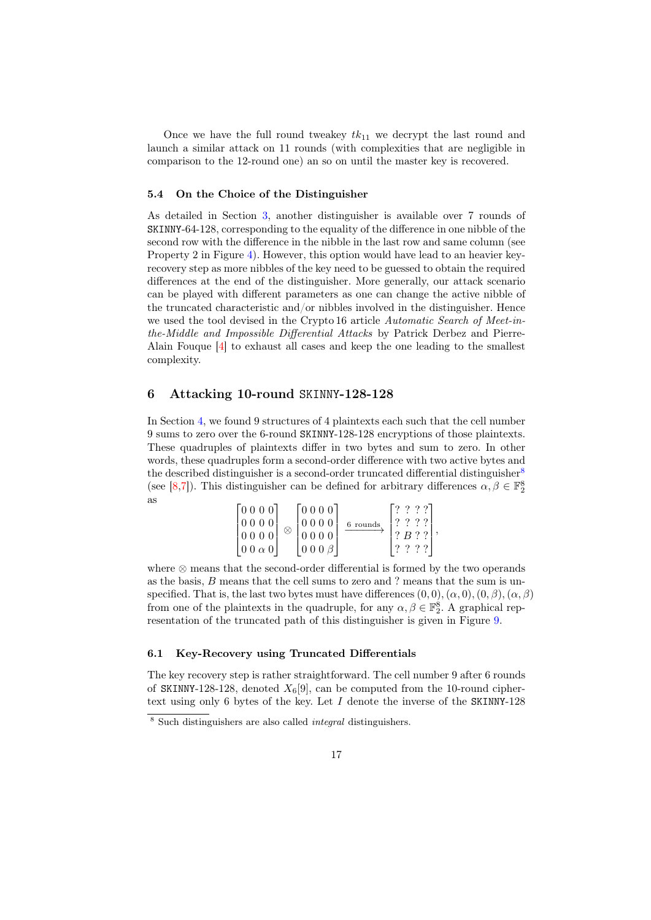Once we have the full round tweakey  $tk_{11}$  we decrypt the last round and launch a similar attack on 11 rounds (with complexities that are negligible in comparison to the 12-round one) an so on until the master key is recovered.

#### 5.4 On the Choice of the Distinguisher

As detailed in Section [3,](#page-4-0) another distinguisher is available over 7 rounds of SKINNY-64-128, corresponding to the equality of the difference in one nibble of the second row with the difference in the nibble in the last row and same column (see Property 2 in Figure [4\)](#page-9-1). However, this option would have lead to an heavier keyrecovery step as more nibbles of the key need to be guessed to obtain the required differences at the end of the distinguisher. More generally, our attack scenario can be played with different parameters as one can change the active nibble of the truncated characteristic and/or nibbles involved in the distinguisher. Hence we used the tool devised in the Crypto 16 article Automatic Search of Meet-inthe-Middle and Impossible Differential Attacks by Patrick Derbez and Pierre-Alain Fouque [\[4\]](#page-20-8) to exhaust all cases and keep the one leading to the smallest complexity.

## <span id="page-16-0"></span>6 Attacking 10-round SKINNY-128-128

In Section [4,](#page-5-0) we found 9 structures of 4 plaintexts each such that the cell number 9 sums to zero over the 6-round SKINNY-128-128 encryptions of those plaintexts. These quadruples of plaintexts differ in two bytes and sum to zero. In other words, these quadruples form a second-order difference with two active bytes and the described distinguisher is a second-order truncated differential distinguisher<sup>[8](#page-16-1)</sup> (see [\[8,](#page-20-6)[7\]](#page-20-7)). This distinguisher can be defined for arbitrary differences  $\alpha, \beta \in \mathbb{F}_2^8$ as

| [0000]<br> 0000 <br>0000<br>$\left[00\alpha0\right]$ | 0000<br>0000<br>0000<br>$\begin{pmatrix} 0 & 0 & 0 \\ 0 & 0 & 0 \\ 0 & 0 & 0 \\ 0 & 0 & 0 \\ 0 & 0 & 0 \\ 0 & 0 & 0 \\ 0 & 0 & 0 \\ 0 & 0 & 0 \\ 0 & 0 & 0 \\ 0 & 0 & 0 \\ 0 & 0 & 0 \\ 0 & 0 & 0 \\ 0 & 0 & 0 \\ 0 & 0 & 0 \\ 0 & 0 & 0 & 0 \\ 0 & 0 & 0 & 0 \\ 0 & 0 & 0 & 0 \\ 0 & 0 & 0 & 0 & 0 \\ 0 & 0 & 0 & 0 & 0 \\ 0 & 0 & 0 & 0 & 0 \\ 0 & 0 & $ | 6 rounds | ? B ? ? |  |
|------------------------------------------------------|------------------------------------------------------------------------------------------------------------------------------------------------------------------------------------------------------------------------------------------------------------------------------------------------------------------------------------------------------------|----------|---------|--|
|                                                      |                                                                                                                                                                                                                                                                                                                                                            |          |         |  |

where ⊗ means that the second-order differential is formed by the two operands as the basis, B means that the cell sums to zero and ? means that the sum is unspecified. That is, the last two bytes must have differences  $(0,0),(\alpha,0),(0,\beta),(\alpha,\beta)$ from one of the plaintexts in the quadruple, for any  $\alpha, \beta \in \mathbb{F}_2^8$ . A graphical representation of the truncated path of this distinguisher is given in Figure [9.](#page-17-0)

#### 6.1 Key-Recovery using Truncated Differentials

The key recovery step is rather straightforward. The cell number 9 after 6 rounds of SKINNY-128-128, denoted  $X_6[9]$ , can be computed from the 10-round ciphertext using only 6 bytes of the key. Let  $I$  denote the inverse of the SKINNY-128

<span id="page-16-1"></span> $8$  Such distinguishers are also called *integral* distinguishers.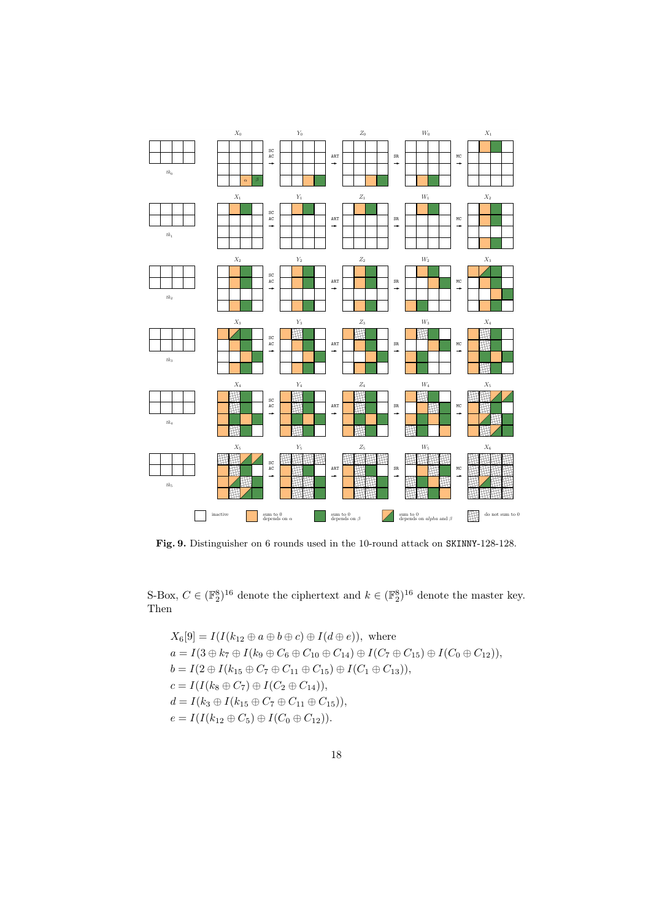

<span id="page-17-0"></span>Fig. 9. Distinguisher on 6 rounds used in the 10-round attack on SKINNY-128-128.

S-Box,  $C \in (\mathbb{F}_2^8)^{16}$  denote the ciphertext and  $k \in (\mathbb{F}_2^8)^{16}$  denote the master key. Then

$$
X_6[9] = I(I(k_{12} \oplus a \oplus b \oplus c) \oplus I(d \oplus e)), \text{ where}
$$
  
\n
$$
a = I(3 \oplus k_7 \oplus I(k_9 \oplus C_6 \oplus C_{10} \oplus C_{14}) \oplus I(C_7 \oplus C_{15}) \oplus I(C_0 \oplus C_{12})),
$$
  
\n
$$
b = I(2 \oplus I(k_{15} \oplus C_7 \oplus C_{11} \oplus C_{15}) \oplus I(C_1 \oplus C_{13})),
$$
  
\n
$$
c = I(I(k_8 \oplus C_7) \oplus I(C_2 \oplus C_{14})),
$$
  
\n
$$
d = I(k_3 \oplus I(k_{15} \oplus C_7 \oplus C_{11} \oplus C_{15})),
$$
  
\n
$$
e = I(I(k_{12} \oplus C_5) \oplus I(C_0 \oplus C_{12})).
$$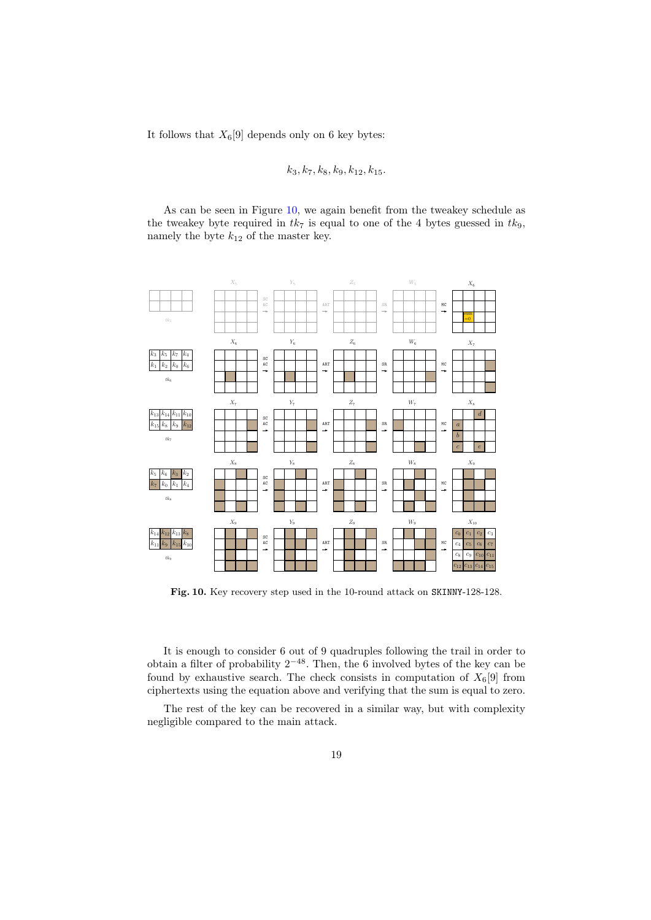It follows that  $X_6[9]$  depends only on 6 key bytes:

# $k_3, k_7, k_8, k_9, k_{12}, k_{15}.$

As can be seen in Figure [10,](#page-18-0) we again benefit from the tweakey schedule as the tweakey byte required in  $tk_7$  is equal to one of the 4 bytes guessed in  $tk_9$ , namely the byte  $k_{12}$  of the master key.



<span id="page-18-0"></span>Fig. 10. Key recovery step used in the 10-round attack on SKINNY-128-128.

It is enough to consider 6 out of 9 quadruples following the trail in order to obtain a filter of probability  $2^{-48}$ . Then, the 6 involved bytes of the key can be found by exhaustive search. The check consists in computation of  $X_6[9]$  from ciphertexts using the equation above and verifying that the sum is equal to zero.

The rest of the key can be recovered in a similar way, but with complexity negligible compared to the main attack.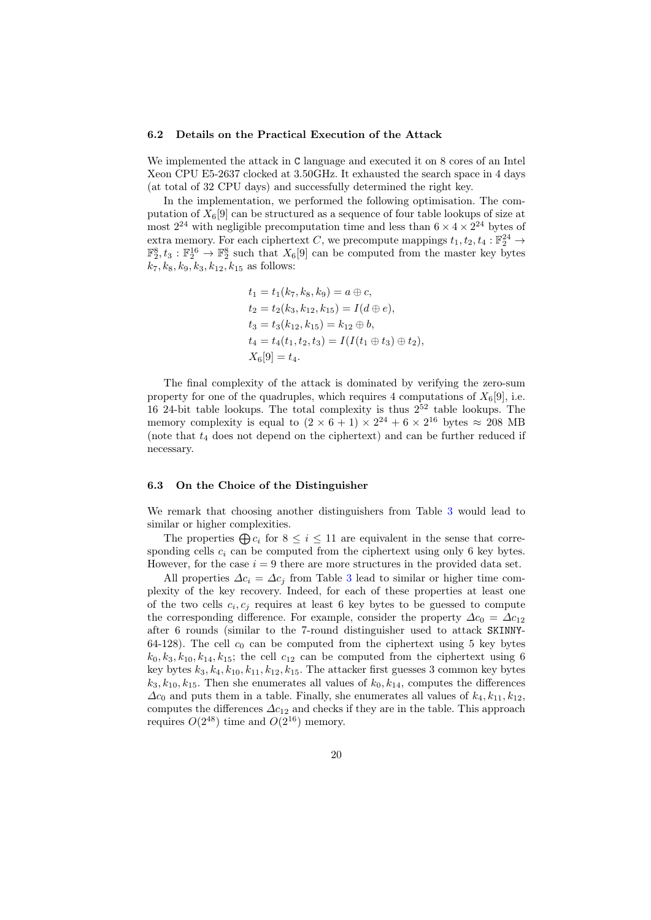#### 6.2 Details on the Practical Execution of the Attack

We implemented the attack in C language and executed it on 8 cores of an Intel Xeon CPU E5-2637 clocked at 3.50GHz. It exhausted the search space in 4 days (at total of 32 CPU days) and successfully determined the right key.

In the implementation, we performed the following optimisation. The computation of  $X_6[9]$  can be structured as a sequence of four table lookups of size at most  $2^{24}$  with negligible precomputation time and less than  $6 \times 4 \times 2^{24}$  bytes of extra memory. For each ciphertext C, we precompute mappings  $t_1, t_2, t_4 : \mathbb{F}_2^{24} \to$  $\mathbb{F}_2^8, t_3 : \mathbb{F}_2^{16} \to \mathbb{F}_2^8$  such that  $X_6[9]$  can be computed from the master key bytes  $k_7, k_8, k_9, k_3, k_{12}, k_{15}$  as follows:

$$
t_1 = t_1(k_7, k_8, k_9) = a \oplus c,
$$
  
\n
$$
t_2 = t_2(k_3, k_{12}, k_{15}) = I(d \oplus e),
$$
  
\n
$$
t_3 = t_3(k_{12}, k_{15}) = k_{12} \oplus b,
$$
  
\n
$$
t_4 = t_4(t_1, t_2, t_3) = I(I(t_1 \oplus t_3) \oplus t_2),
$$
  
\n
$$
X_6[9] = t_4.
$$

The final complexity of the attack is dominated by verifying the zero-sum property for one of the quadruples, which requires 4 computations of  $X_6[9]$ , i.e. 16 24-bit table lookups. The total complexity is thus  $2^{52}$  table lookups. The memory complexity is equal to  $(2 \times 6 + 1) \times 2^{24} + 6 \times 2^{16}$  bytes  $\approx 208$  MB (note that  $t_4$  does not depend on the ciphertext) and can be further reduced if necessary.

#### 6.3 On the Choice of the Distinguisher

We remark that choosing another distinguishers from Table [3](#page-8-0) would lead to similar or higher complexities.

The properties  $\bigoplus c_i$  for  $8 \leq i \leq 11$  are equivalent in the sense that corresponding cells  $c_i$  can be computed from the ciphertext using only 6 key bytes. However, for the case  $i = 9$  there are more structures in the provided data set.

All properties  $\Delta c_i = \Delta c_j$  from Table [3](#page-8-0) lead to similar or higher time complexity of the key recovery. Indeed, for each of these properties at least one of the two cells  $c_i, c_j$  requires at least 6 key bytes to be guessed to compute the corresponding difference. For example, consider the property  $\Delta c_0 = \Delta c_{12}$ after 6 rounds (similar to the 7-round distinguisher used to attack SKINNY-64-128). The cell  $c_0$  can be computed from the ciphertext using 5 key bytes  $k_0, k_3, k_{10}, k_{14}, k_{15}$ ; the cell  $c_{12}$  can be computed from the ciphertext using 6 key bytes  $k_3, k_4, k_{10}, k_{11}, k_{12}, k_{15}$ . The attacker first guesses 3 common key bytes  $k_3, k_{10}, k_{15}$ . Then she enumerates all values of  $k_0, k_{14}$ , computes the differences  $\Delta c_0$  and puts them in a table. Finally, she enumerates all values of  $k_4, k_{11}, k_{12}$ , computes the differences  $\Delta c_{12}$  and checks if they are in the table. This approach requires  $O(2^{48})$  time and  $O(2^{16})$  memory.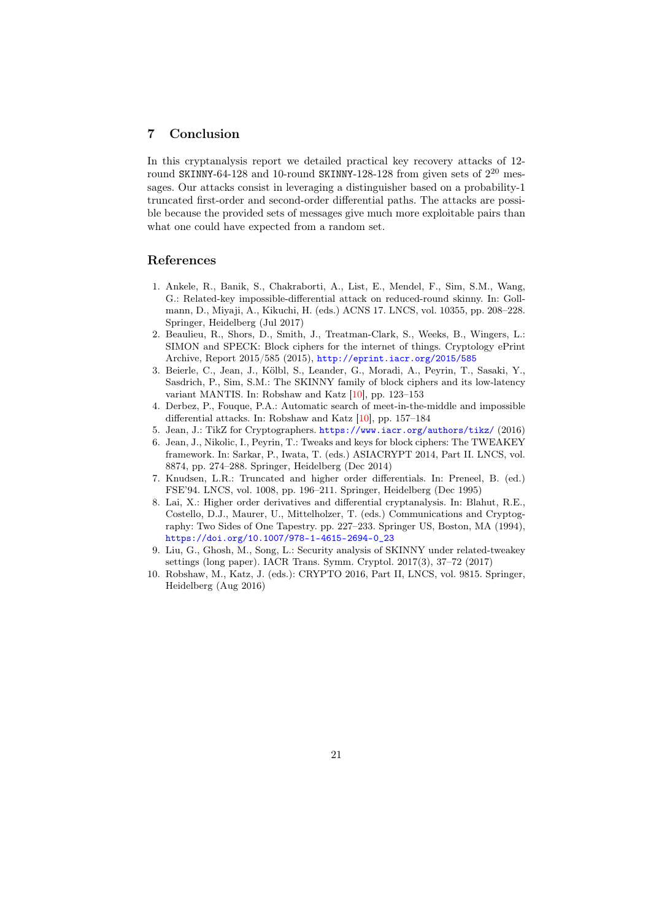## 7 Conclusion

In this cryptanalysis report we detailed practical key recovery attacks of 12 round SKINNY-64-128 and 10-round SKINNY-128-128 from given sets of  $2^{20}$  messages. Our attacks consist in leveraging a distinguisher based on a probability-1 truncated first-order and second-order differential paths. The attacks are possible because the provided sets of messages give much more exploitable pairs than what one could have expected from a random set.

## References

- <span id="page-20-0"></span>1. Ankele, R., Banik, S., Chakraborti, A., List, E., Mendel, F., Sim, S.M., Wang, G.: Related-key impossible-differential attack on reduced-round skinny. In: Gollmann, D., Miyaji, A., Kikuchi, H. (eds.) ACNS 17. LNCS, vol. 10355, pp. 208–228. Springer, Heidelberg (Jul 2017)
- <span id="page-20-3"></span>2. Beaulieu, R., Shors, D., Smith, J., Treatman-Clark, S., Weeks, B., Wingers, L.: SIMON and SPECK: Block ciphers for the internet of things. Cryptology ePrint Archive, Report 2015/585 (2015), <http://eprint.iacr.org/2015/585>
- <span id="page-20-2"></span>3. Beierle, C., Jean, J., Kölbl, S., Leander, G., Moradi, A., Peyrin, T., Sasaki, Y., Sasdrich, P., Sim, S.M.: The SKINNY family of block ciphers and its low-latency variant MANTIS. In: Robshaw and Katz [\[10\]](#page-20-9), pp. 123–153
- <span id="page-20-8"></span>4. Derbez, P., Fouque, P.A.: Automatic search of meet-in-the-middle and impossible differential attacks. In: Robshaw and Katz [\[10\]](#page-20-9), pp. 157–184
- <span id="page-20-5"></span>5. Jean, J.: TikZ for Cryptographers. <https://www.iacr.org/authors/tikz/> (2016)
- <span id="page-20-4"></span>6. Jean, J., Nikolic, I., Peyrin, T.: Tweaks and keys for block ciphers: The TWEAKEY framework. In: Sarkar, P., Iwata, T. (eds.) ASIACRYPT 2014, Part II. LNCS, vol. 8874, pp. 274–288. Springer, Heidelberg (Dec 2014)
- <span id="page-20-7"></span>7. Knudsen, L.R.: Truncated and higher order differentials. In: Preneel, B. (ed.) FSE'94. LNCS, vol. 1008, pp. 196–211. Springer, Heidelberg (Dec 1995)
- <span id="page-20-6"></span>8. Lai, X.: Higher order derivatives and differential cryptanalysis. In: Blahut, R.E., Costello, D.J., Maurer, U., Mittelholzer, T. (eds.) Communications and Cryptography: Two Sides of One Tapestry. pp. 227–233. Springer US, Boston, MA (1994), [https://doi.org/10.1007/978-1-4615-2694-0\\_23](https://doi.org/10.1007/978-1-4615-2694-0_23)
- <span id="page-20-1"></span>9. Liu, G., Ghosh, M., Song, L.: Security analysis of SKINNY under related-tweakey settings (long paper). IACR Trans. Symm. Cryptol. 2017(3), 37–72 (2017)
- <span id="page-20-9"></span>10. Robshaw, M., Katz, J. (eds.): CRYPTO 2016, Part II, LNCS, vol. 9815. Springer, Heidelberg (Aug 2016)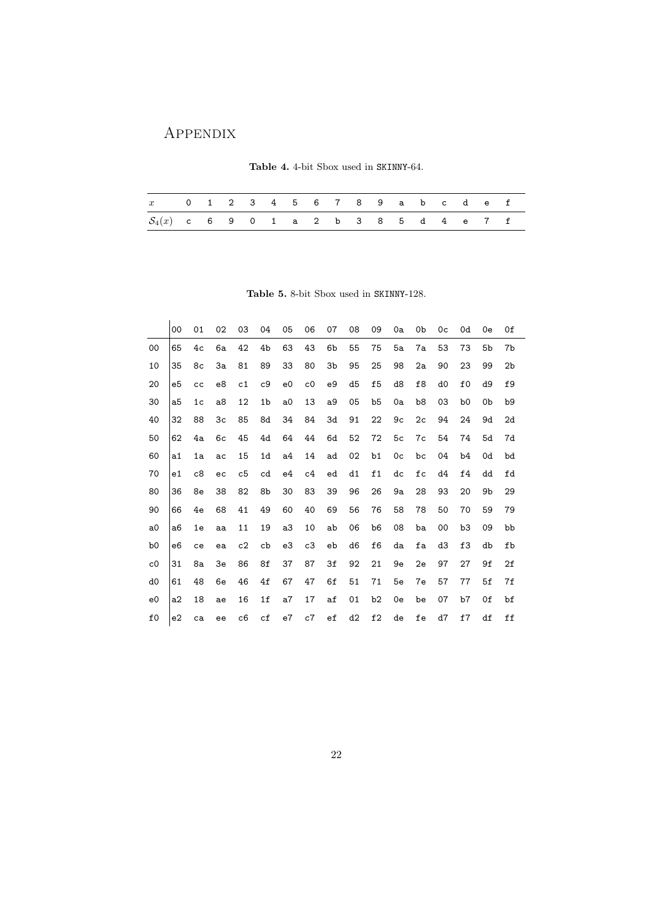# Appendix

<span id="page-21-0"></span>

|  |  |  | Table 4. 4-bit Sbox used in SKINNY-64. |
|--|--|--|----------------------------------------|
|  |  |  |                                        |

| x 0 1 2 3 4 5 6 7 8 9 a b c d e f        |  |  |  |  |  |  |  |  |
|------------------------------------------|--|--|--|--|--|--|--|--|
| $S_4(x)$ c 6 9 0 1 a 2 b 3 8 5 d 4 e 7 f |  |  |  |  |  |  |  |  |

<span id="page-21-1"></span>Table 5. 8-bit Sbox used in SKINNY-128.

|                | 00             | 01             | 02 | 03 | 04             | 05             | 06             | 07          | 08             | 09             | 0a | 0b             | 0 <sub>c</sub> | 0d             | 0e | 0f             |
|----------------|----------------|----------------|----|----|----------------|----------------|----------------|-------------|----------------|----------------|----|----------------|----------------|----------------|----|----------------|
| 00             | 65             | 4c             | 6a | 42 | 4b             | 63             | 43             | 6b          | 55             | 75             | 5a | 7a             | 53             | 73             | 5b | 7b             |
| 10             | 35             | 8c             | 3a | 81 | 89             | 33             | 80             | 3b          | 95             | 25             | 98 | 2a             | 90             | 23             | 99 | 2 <sub>b</sub> |
| 20             | e5             | cc             | e8 | c1 | c9             | e <sub>0</sub> | c <sub>0</sub> | e9          | d <sub>5</sub> | f <sub>5</sub> | d8 | f8             | d <sub>0</sub> | f <sub>0</sub> | d9 | f9             |
| 30             | a5             | 1 <sub>c</sub> | a8 | 12 | 1 <sub>b</sub> | a <sub>0</sub> | 13             | a9          | 05             | b5             | 0a | b8             | 03             | b <sub>0</sub> | 0b | b9             |
| 40             | 32             | 88             | 3c | 85 | 8d             | 34             | 84             | 3d          | 91             | 22             | 9c | 2 <sub>c</sub> | 94             | 24             | 9d | 2d             |
| 50             | 62             | 4a             | 6c | 45 | 4d             | 64             | 44             | 6d          | 52             | 72             | 5c | 7c             | 54             | 74             | 5d | 7d             |
| 60             | a <sub>1</sub> | 1a             | ac | 15 | 1 <sub>d</sub> | a <sub>4</sub> | 14             | ad          | 02             | b1             | 0c | bc             | 04             | b4             | 0d | bd             |
| 70             | e1             | c8             | ec | c5 | cd             | e4             | c4             | ed          | d1             | f1             | dc | fc             | d4             | f4             | dd | fd             |
| 80             | 36             | 8e             | 38 | 82 | 8b             | 30             | 83             | 39          | 96             | 26             | 9a | 28             | 93             | 20             | 9b | 29             |
| 90             | 66             | 4e             | 68 | 41 | 49             | 60             | 40             | 69          | 56             | 76             | 58 | 78             | 50             | 70             | 59 | 79             |
| a <sub>0</sub> | a6             | 1e             | aa | 11 | 19             | a3             | 10             | ab          | 06             | b <sub>6</sub> | 08 | ba             | 00             | b3             | 09 | bb             |
| b <sub>0</sub> | e6             | ce             | ea | c2 | cb             | e3             | c3             | eb          | d6             | f6             | da | fa             | d3             | f3             | db | fb             |
| c <sub>0</sub> | 31             | 8a             | 3e | 86 | 8f             | 37             | 87             | 3f          | 92             | 21             | 9e | 2e             | 97             | 27             | 9f | 2f             |
| d <sub>0</sub> | 61             | 48             | 6e | 46 | 4f             | 67             | 47             | 6f          | 51             | 71             | 5e | 7e             | 57             | 77             | 5f | 7f             |
| e <sub>0</sub> | a2             | 18             | ae | 16 | 1f             | a7             | 17             | af          | 01             | b2             | 0e | be             | 07             | b7             | 0f | bf             |
| f <sub>0</sub> | e2             | ca             | ee | c6 | cf             | e7             | c7             | $_{\rm ef}$ | d2             | f2             | de | fe             | d7             | f7             | df | ff             |